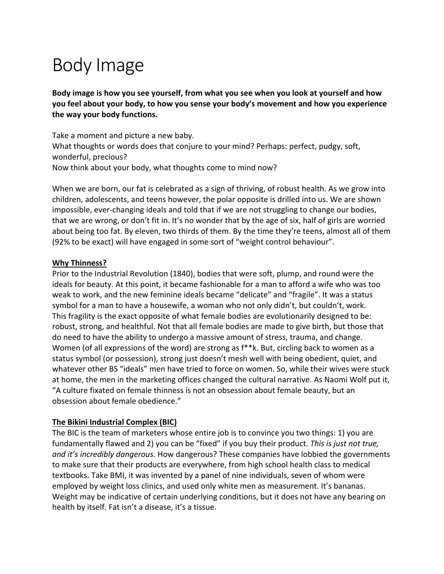# Body Image

**Body image is how you see yourself, from what you see when you look at yourself and how you feel about your body, to how you sense your body's movement and how you experience the way your body functions.** 

Take a moment and picture a new baby. What thoughts or words does that conjure to your mind? Perhaps: perfect, pudgy, soft, wonderful, precious? Now think about your body, what thoughts come to mind now?

When we are born, our fat is celebrated as a sign of thriving, of robust health. As we grow into children, adolescents, and teens however, the polar opposite is drilled into us. We are shown impossible, ever-changing ideals and told that if we are not struggling to change our bodies, that we are wrong, or don't fit in. It's no wonder that by the age of six, half of girls are worried about being too fat. By eleven, two thirds of them. By the time they're teens, almost all of them (92% to be exact) will have engaged in some sort of "weight control behaviour".

### **Why Thinness?**

Prior to the Industrial Revolution (1840), bodies that were soft, plump, and round were the ideals for beauty. At this point, it became fashionable for a man to afford a wife who was too weak to work, and the new feminine ideals became "delicate" and "fragile". It was a status symbol for a man to have a housewife, a woman who not only didn't, but couldn't, work. This fragility is the exact opposite of what female bodies are evolutionarily designed to be: robust, strong, and healthful. Not that all female bodies are made to give birth, but those that do need to have the ability to undergo a massive amount of stress, trauma, and change. Women (of all expressions of the word) are strong as f\*\*k. But, circling back to women as a status symbol (or possession), strong just doesn't mesh well with being obedient, quiet, and whatever other BS "ideals" men have tried to force on women. So, while their wives were stuck at home, the men in the marketing offices changed the cultural narrative. As Naomi Wolf put it, "A culture fixated on female thinness is not an obsession about female beauty, but an obsession about female obedience."

## **The Bikini Industrial Complex (BIC)**

The BIC is the team of marketers whose entire job is to convince you two things: 1) you are fundamentally flawed and 2) you can be "fixed" if you buy their product. *This is just not true, and it's incredibly dangerous.* How dangerous? These companies have lobbied the governments to make sure that their products are everywhere, from high school health class to medical textbooks. Take BMI, it was invented by a panel of nine individuals, seven of whom were employed by weight loss clinics, and used only white men as measurement. It's bananas. Weight may be indicative of certain underlying conditions, but it does not have any bearing on health by itself. Fat isn't a disease, it's a tissue.